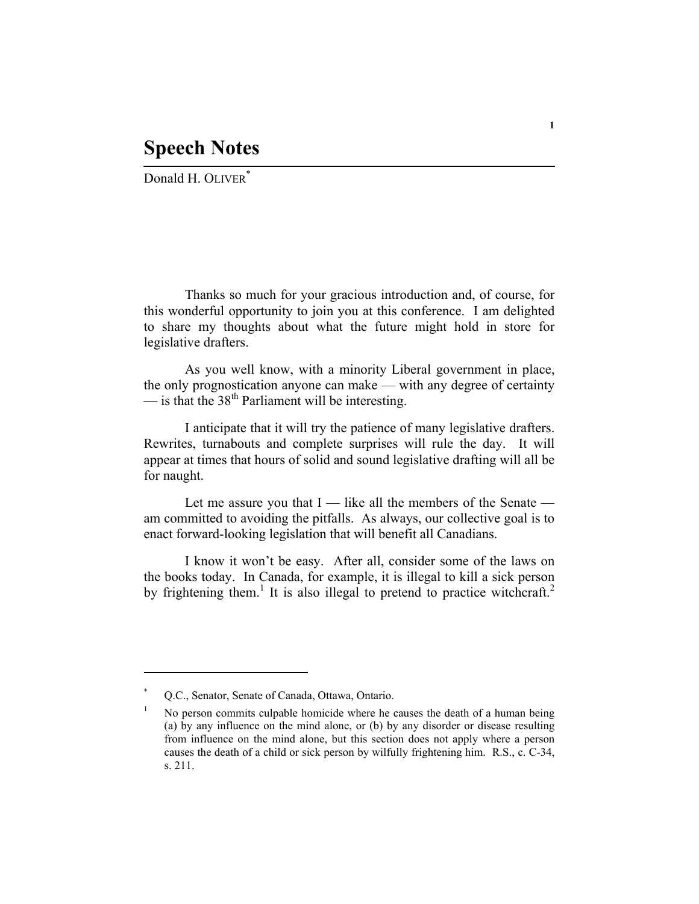## **Speech Notes**

Donald H. OLIVER<sup>\*</sup>

Thanks so much for your gracious introduction and, of course, for this wonderful opportunity to join you at this conference. I am delighted to share my thoughts about what the future might hold in store for legislative drafters.

As you well know, with a minority Liberal government in place, the only prognostication anyone can make — with any degree of certainty  $\frac{1}{2}$  is that the 38<sup>th</sup> Parliament will be interesting.

I anticipate that it will try the patience of many legislative drafters. Rewrites, turnabouts and complete surprises will rule the day. It will appear at times that hours of solid and sound legislative drafting will all be for naught.

Let me assure you that  $I$  — like all the members of the Senate am committed to avoiding the pitfalls. As always, our collective goal is to enact forward-looking legislation that will benefit all Canadians.

I know it won't be easy. After all, consider some of the laws on the books today. In Canada, for example, it is illegal to kill a sick person by frightening them.<sup>1</sup> It is also illegal to pretend to practice witchcraft.<sup>2</sup>

<sup>\*</sup> Q.C., Senator, Senate of Canada, Ottawa, Ontario.

<sup>1</sup> No person commits culpable homicide where he causes the death of a human being (a) by any influence on the mind alone, or (b) by any disorder or disease resulting from influence on the mind alone, but this section does not apply where a person causes the death of a child or sick person by wilfully frightening him. R.S., c. C-34, s. 211.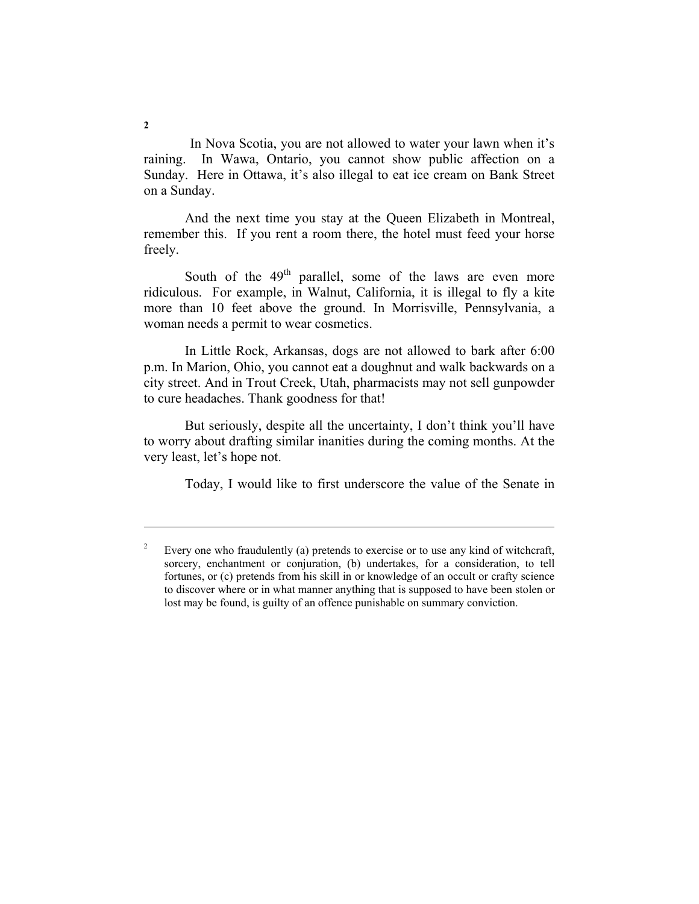In Nova Scotia, you are not allowed to water your lawn when it's raining. In Wawa, Ontario, you cannot show public affection on a Sunday. Here in Ottawa, it's also illegal to eat ice cream on Bank Street on a Sunday.

And the next time you stay at the Queen Elizabeth in Montreal, remember this. If you rent a room there, the hotel must feed your horse freely.

South of the  $49<sup>th</sup>$  parallel, some of the laws are even more ridiculous. For example, in Walnut, California, it is illegal to fly a kite more than 10 feet above the ground. In Morrisville, Pennsylvania, a woman needs a permit to wear cosmetics.

In Little Rock, Arkansas, dogs are not allowed to bark after 6:00 p.m. In Marion, Ohio, you cannot eat a doughnut and walk backwards on a city street. And in Trout Creek, Utah, pharmacists may not sell gunpowder to cure headaches. Thank goodness for that!

But seriously, despite all the uncertainty, I don't think you'll have to worry about drafting similar inanities during the coming months. At the very least, let's hope not.

Today, I would like to first underscore the value of the Senate in

<sup>2</sup> Every one who fraudulently (a) pretends to exercise or to use any kind of witchcraft, sorcery, enchantment or conjuration, (b) undertakes, for a consideration, to tell fortunes, or (c) pretends from his skill in or knowledge of an occult or crafty science to discover where or in what manner anything that is supposed to have been stolen or lost may be found, is guilty of an offence punishable on summary conviction.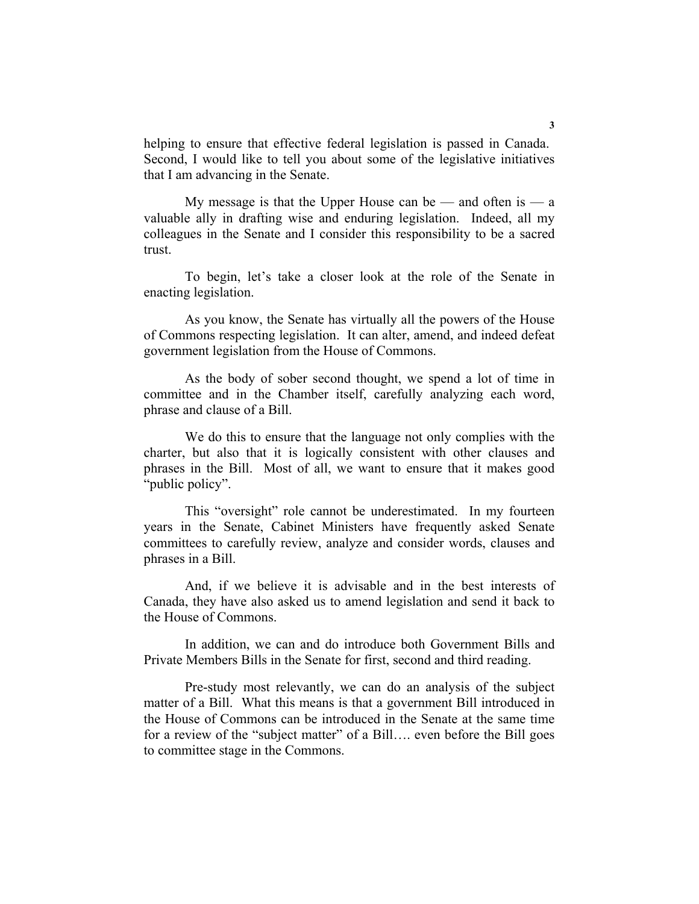helping to ensure that effective federal legislation is passed in Canada. Second, I would like to tell you about some of the legislative initiatives that I am advancing in the Senate.

My message is that the Upper House can be — and often is — a valuable ally in drafting wise and enduring legislation. Indeed, all my colleagues in the Senate and I consider this responsibility to be a sacred trust.

To begin, let's take a closer look at the role of the Senate in enacting legislation.

As you know, the Senate has virtually all the powers of the House of Commons respecting legislation. It can alter, amend, and indeed defeat government legislation from the House of Commons.

As the body of sober second thought, we spend a lot of time in committee and in the Chamber itself, carefully analyzing each word, phrase and clause of a Bill.

We do this to ensure that the language not only complies with the charter, but also that it is logically consistent with other clauses and phrases in the Bill. Most of all, we want to ensure that it makes good "public policy".

This "oversight" role cannot be underestimated. In my fourteen years in the Senate, Cabinet Ministers have frequently asked Senate committees to carefully review, analyze and consider words, clauses and phrases in a Bill.

And, if we believe it is advisable and in the best interests of Canada, they have also asked us to amend legislation and send it back to the House of Commons.

In addition, we can and do introduce both Government Bills and Private Members Bills in the Senate for first, second and third reading.

Pre-study most relevantly, we can do an analysis of the subject matter of a Bill. What this means is that a government Bill introduced in the House of Commons can be introduced in the Senate at the same time for a review of the "subject matter" of a Bill…. even before the Bill goes to committee stage in the Commons.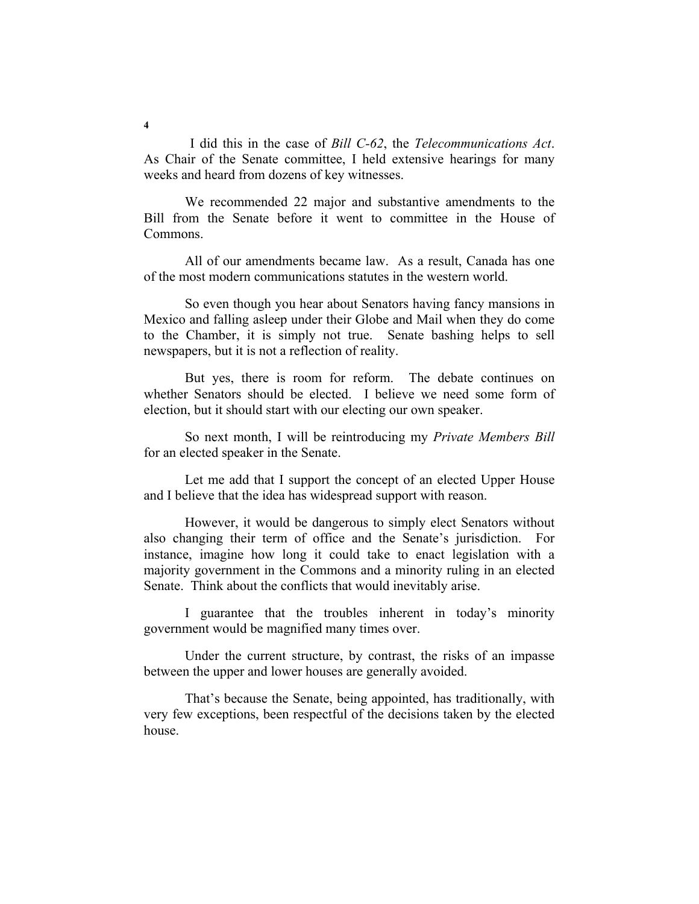I did this in the case of *Bill C-62*, the *Telecommunications Act*. As Chair of the Senate committee, I held extensive hearings for many weeks and heard from dozens of key witnesses.

We recommended 22 major and substantive amendments to the Bill from the Senate before it went to committee in the House of Commons.

All of our amendments became law. As a result, Canada has one of the most modern communications statutes in the western world.

So even though you hear about Senators having fancy mansions in Mexico and falling asleep under their Globe and Mail when they do come to the Chamber, it is simply not true. Senate bashing helps to sell newspapers, but it is not a reflection of reality.

But yes, there is room for reform. The debate continues on whether Senators should be elected. I believe we need some form of election, but it should start with our electing our own speaker.

So next month, I will be reintroducing my *Private Members Bill* for an elected speaker in the Senate.

Let me add that I support the concept of an elected Upper House and I believe that the idea has widespread support with reason.

However, it would be dangerous to simply elect Senators without also changing their term of office and the Senate's jurisdiction. For instance, imagine how long it could take to enact legislation with a majority government in the Commons and a minority ruling in an elected Senate. Think about the conflicts that would inevitably arise.

I guarantee that the troubles inherent in today's minority government would be magnified many times over.

Under the current structure, by contrast, the risks of an impasse between the upper and lower houses are generally avoided.

That's because the Senate, being appointed, has traditionally, with very few exceptions, been respectful of the decisions taken by the elected house.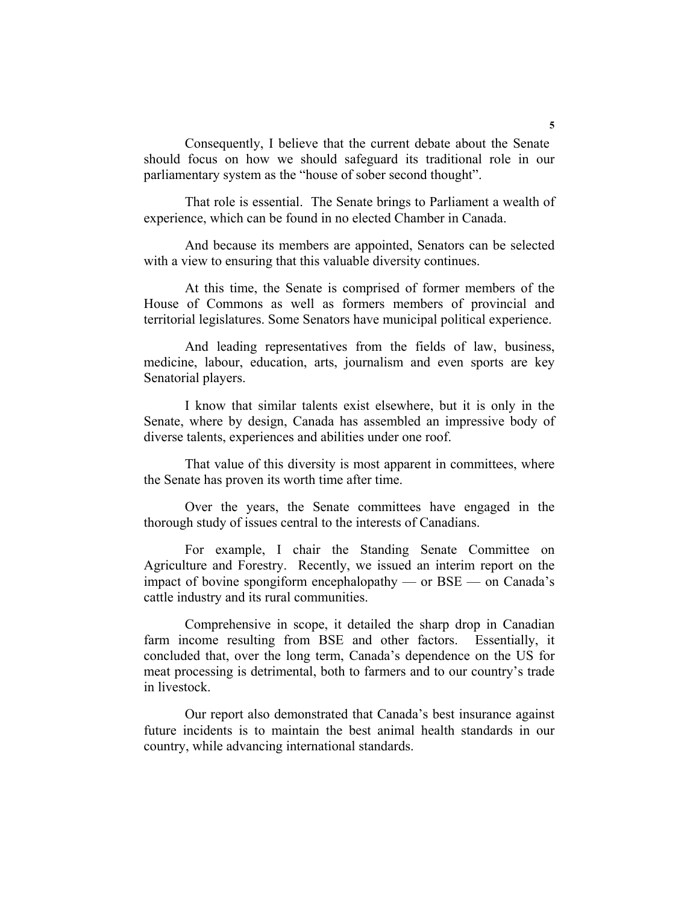Consequently, I believe that the current debate about the Senate should focus on how we should safeguard its traditional role in our parliamentary system as the "house of sober second thought".

That role is essential. The Senate brings to Parliament a wealth of experience, which can be found in no elected Chamber in Canada.

And because its members are appointed, Senators can be selected with a view to ensuring that this valuable diversity continues.

At this time, the Senate is comprised of former members of the House of Commons as well as formers members of provincial and territorial legislatures. Some Senators have municipal political experience.

And leading representatives from the fields of law, business, medicine, labour, education, arts, journalism and even sports are key Senatorial players.

I know that similar talents exist elsewhere, but it is only in the Senate, where by design, Canada has assembled an impressive body of diverse talents, experiences and abilities under one roof.

That value of this diversity is most apparent in committees, where the Senate has proven its worth time after time.

Over the years, the Senate committees have engaged in the thorough study of issues central to the interests of Canadians.

For example, I chair the Standing Senate Committee on Agriculture and Forestry. Recently, we issued an interim report on the impact of bovine spongiform encephalopathy — or BSE — on Canada's cattle industry and its rural communities.

Comprehensive in scope, it detailed the sharp drop in Canadian farm income resulting from BSE and other factors. Essentially, it concluded that, over the long term, Canada's dependence on the US for meat processing is detrimental, both to farmers and to our country's trade in livestock.

Our report also demonstrated that Canada's best insurance against future incidents is to maintain the best animal health standards in our country, while advancing international standards.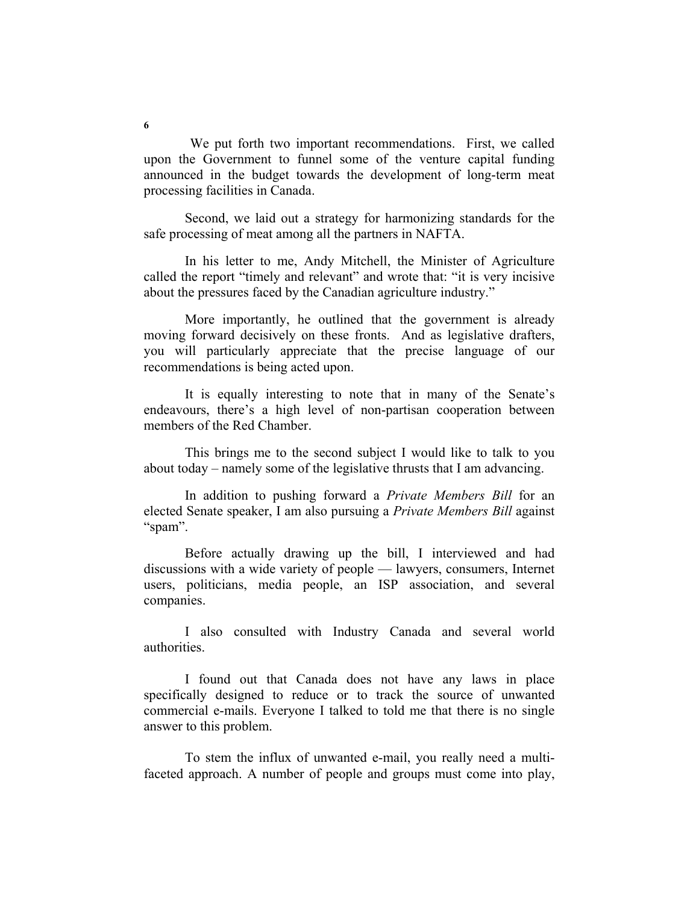We put forth two important recommendations. First, we called upon the Government to funnel some of the venture capital funding announced in the budget towards the development of long-term meat processing facilities in Canada.

Second, we laid out a strategy for harmonizing standards for the safe processing of meat among all the partners in NAFTA.

In his letter to me, Andy Mitchell, the Minister of Agriculture called the report "timely and relevant" and wrote that: "it is very incisive about the pressures faced by the Canadian agriculture industry."

More importantly, he outlined that the government is already moving forward decisively on these fronts. And as legislative drafters, you will particularly appreciate that the precise language of our recommendations is being acted upon.

It is equally interesting to note that in many of the Senate's endeavours, there's a high level of non-partisan cooperation between members of the Red Chamber.

This brings me to the second subject I would like to talk to you about today – namely some of the legislative thrusts that I am advancing.

In addition to pushing forward a *Private Members Bill* for an elected Senate speaker, I am also pursuing a *Private Members Bill* against "spam".

Before actually drawing up the bill, I interviewed and had discussions with a wide variety of people — lawyers, consumers, Internet users, politicians, media people, an ISP association, and several companies.

I also consulted with Industry Canada and several world authorities.

I found out that Canada does not have any laws in place specifically designed to reduce or to track the source of unwanted commercial e-mails. Everyone I talked to told me that there is no single answer to this problem.

To stem the influx of unwanted e-mail, you really need a multifaceted approach. A number of people and groups must come into play,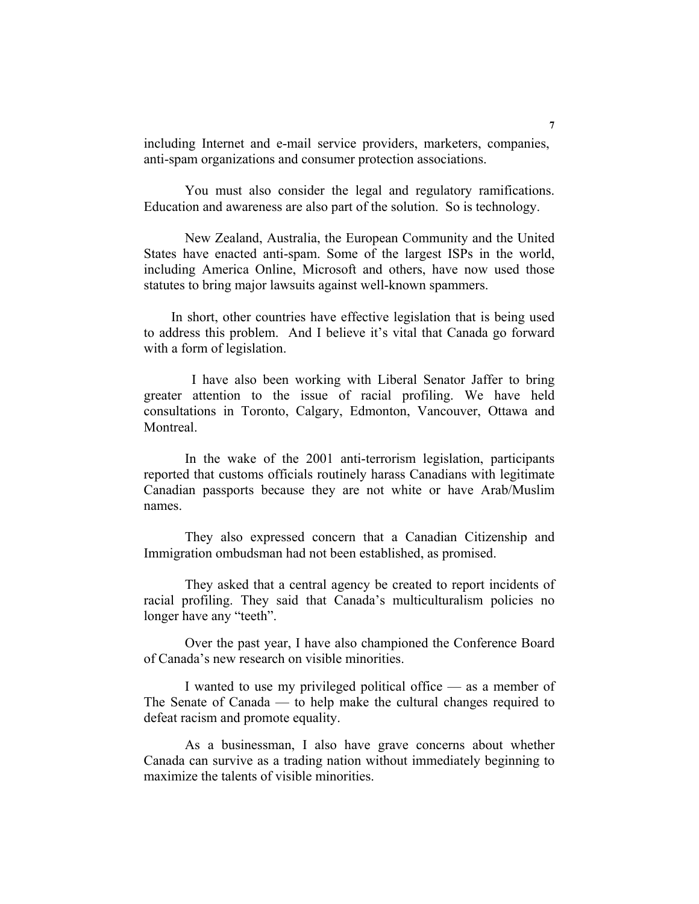including Internet and e-mail service providers, marketers, companies, anti-spam organizations and consumer protection associations.

You must also consider the legal and regulatory ramifications. Education and awareness are also part of the solution. So is technology.

New Zealand, Australia, the European Community and the United States have enacted anti-spam. Some of the largest ISPs in the world, including America Online, Microsoft and others, have now used those statutes to bring major lawsuits against well-known spammers.

 In short, other countries have effective legislation that is being used to address this problem. And I believe it's vital that Canada go forward with a form of legislation.

 I have also been working with Liberal Senator Jaffer to bring greater attention to the issue of racial profiling. We have held consultations in Toronto, Calgary, Edmonton, Vancouver, Ottawa and Montreal.

In the wake of the 2001 anti-terrorism legislation, participants reported that customs officials routinely harass Canadians with legitimate Canadian passports because they are not white or have Arab/Muslim names.

They also expressed concern that a Canadian Citizenship and Immigration ombudsman had not been established, as promised.

They asked that a central agency be created to report incidents of racial profiling. They said that Canada's multiculturalism policies no longer have any "teeth".

Over the past year, I have also championed the Conference Board of Canada's new research on visible minorities.

I wanted to use my privileged political office — as a member of The Senate of Canada — to help make the cultural changes required to defeat racism and promote equality.

As a businessman, I also have grave concerns about whether Canada can survive as a trading nation without immediately beginning to maximize the talents of visible minorities.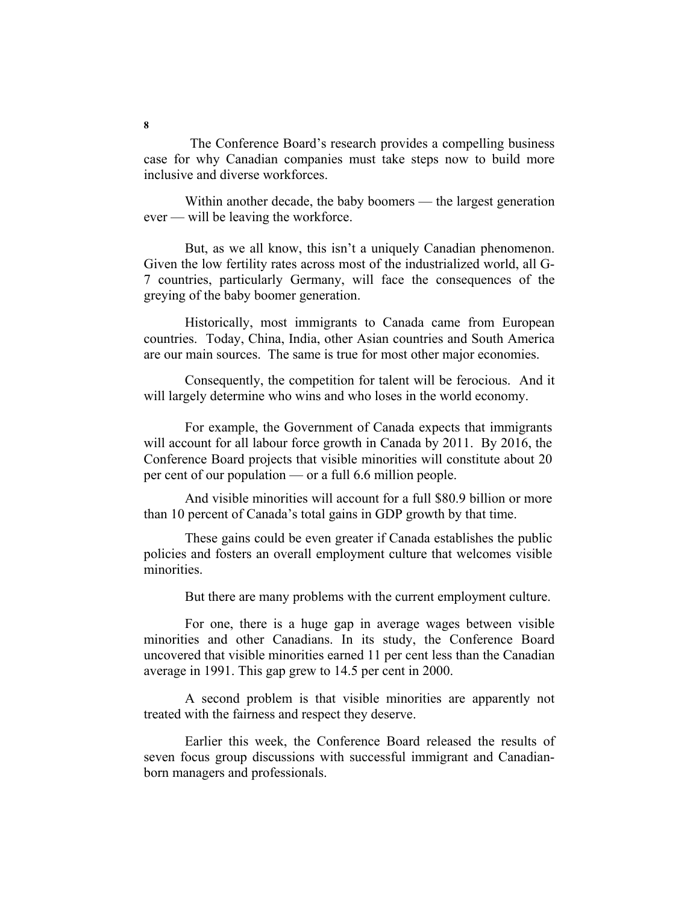The Conference Board's research provides a compelling business case for why Canadian companies must take steps now to build more inclusive and diverse workforces.

Within another decade, the baby boomers — the largest generation ever — will be leaving the workforce.

But, as we all know, this isn't a uniquely Canadian phenomenon. Given the low fertility rates across most of the industrialized world, all G-7 countries, particularly Germany, will face the consequences of the greying of the baby boomer generation.

Historically, most immigrants to Canada came from European countries. Today, China, India, other Asian countries and South America are our main sources. The same is true for most other major economies.

Consequently, the competition for talent will be ferocious. And it will largely determine who wins and who loses in the world economy.

For example, the Government of Canada expects that immigrants will account for all labour force growth in Canada by 2011. By 2016, the Conference Board projects that visible minorities will constitute about 20 per cent of our population — or a full 6.6 million people.

And visible minorities will account for a full \$80.9 billion or more than 10 percent of Canada's total gains in GDP growth by that time.

These gains could be even greater if Canada establishes the public policies and fosters an overall employment culture that welcomes visible minorities.

But there are many problems with the current employment culture.

For one, there is a huge gap in average wages between visible minorities and other Canadians. In its study, the Conference Board uncovered that visible minorities earned 11 per cent less than the Canadian average in 1991. This gap grew to 14.5 per cent in 2000.

A second problem is that visible minorities are apparently not treated with the fairness and respect they deserve.

Earlier this week, the Conference Board released the results of seven focus group discussions with successful immigrant and Canadianborn managers and professionals.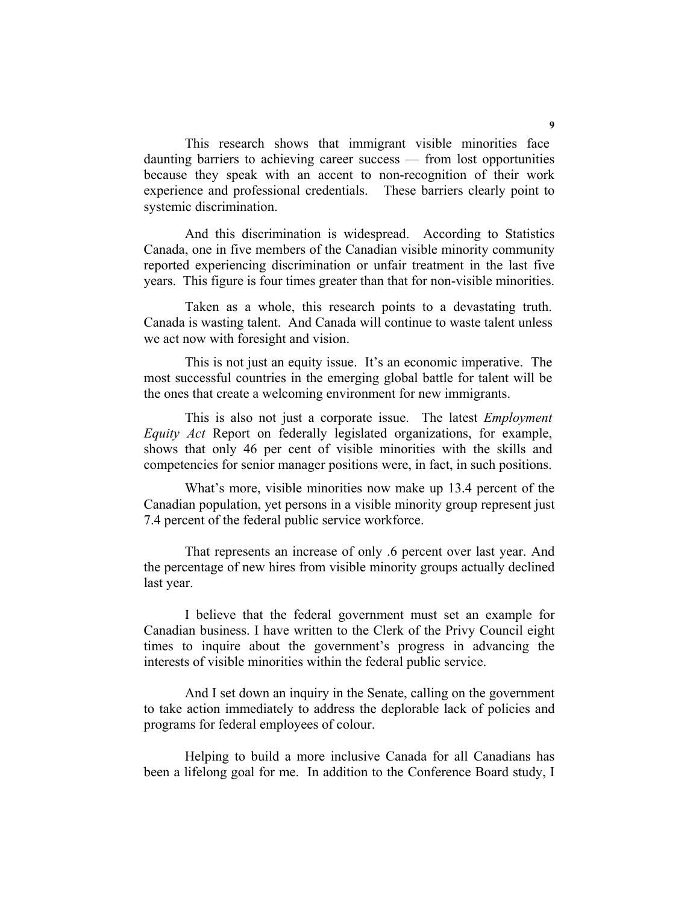This research shows that immigrant visible minorities face daunting barriers to achieving career success — from lost opportunities because they speak with an accent to non-recognition of their work experience and professional credentials. These barriers clearly point to systemic discrimination.

And this discrimination is widespread. According to Statistics Canada, one in five members of the Canadian visible minority community reported experiencing discrimination or unfair treatment in the last five years. This figure is four times greater than that for non-visible minorities.

Taken as a whole, this research points to a devastating truth. Canada is wasting talent. And Canada will continue to waste talent unless we act now with foresight and vision.

This is not just an equity issue. It's an economic imperative. The most successful countries in the emerging global battle for talent will be the ones that create a welcoming environment for new immigrants.

This is also not just a corporate issue. The latest *Employment Equity Act* Report on federally legislated organizations, for example, shows that only 46 per cent of visible minorities with the skills and competencies for senior manager positions were, in fact, in such positions.

What's more, visible minorities now make up 13.4 percent of the Canadian population, yet persons in a visible minority group represent just 7.4 percent of the federal public service workforce.

That represents an increase of only .6 percent over last year. And the percentage of new hires from visible minority groups actually declined last year.

I believe that the federal government must set an example for Canadian business. I have written to the Clerk of the Privy Council eight times to inquire about the government's progress in advancing the interests of visible minorities within the federal public service.

And I set down an inquiry in the Senate, calling on the government to take action immediately to address the deplorable lack of policies and programs for federal employees of colour.

Helping to build a more inclusive Canada for all Canadians has been a lifelong goal for me. In addition to the Conference Board study, I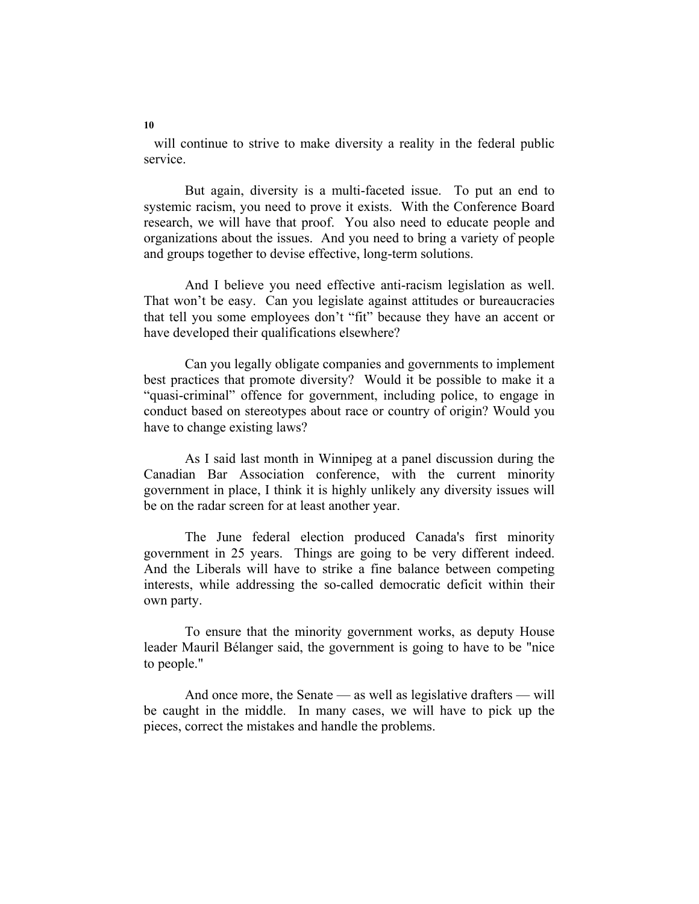will continue to strive to make diversity a reality in the federal public service.

But again, diversity is a multi-faceted issue. To put an end to systemic racism, you need to prove it exists. With the Conference Board research, we will have that proof. You also need to educate people and organizations about the issues. And you need to bring a variety of people and groups together to devise effective, long-term solutions.

And I believe you need effective anti-racism legislation as well. That won't be easy. Can you legislate against attitudes or bureaucracies that tell you some employees don't "fit" because they have an accent or have developed their qualifications elsewhere?

Can you legally obligate companies and governments to implement best practices that promote diversity? Would it be possible to make it a "quasi-criminal" offence for government, including police, to engage in conduct based on stereotypes about race or country of origin? Would you have to change existing laws?

As I said last month in Winnipeg at a panel discussion during the Canadian Bar Association conference, with the current minority government in place, I think it is highly unlikely any diversity issues will be on the radar screen for at least another year.

The June federal election produced Canada's first minority government in 25 years. Things are going to be very different indeed. And the Liberals will have to strike a fine balance between competing interests, while addressing the so-called democratic deficit within their own party.

To ensure that the minority government works, as deputy House leader Mauril Bélanger said, the government is going to have to be "nice to people."

And once more, the Senate — as well as legislative drafters — will be caught in the middle. In many cases, we will have to pick up the pieces, correct the mistakes and handle the problems.

**10**